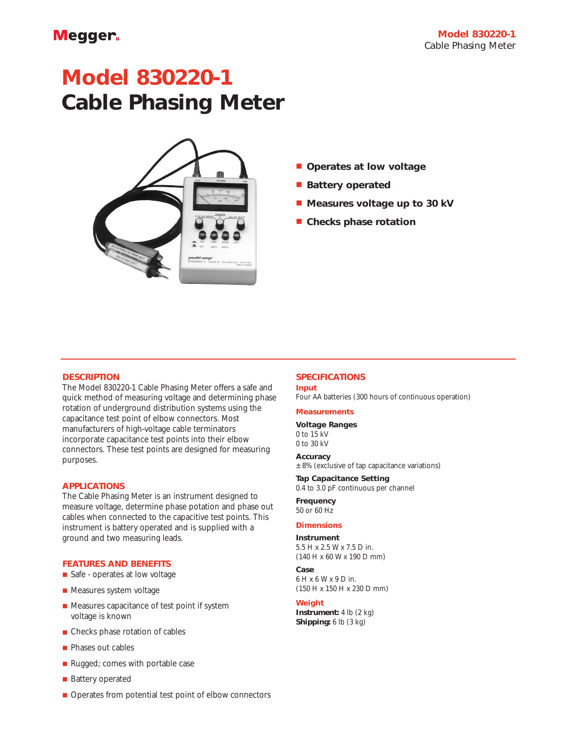# **Model 830220-1 Cable Phasing Meter**



- **Operates at low voltage**
- **Battery operated**
- **Measures voltage up to 30 kV**
- **Checks phase rotation**

## **DESCRIPTION**

The Model 830220-1 Cable Phasing Meter offers a safe and quick method of measuring voltage and determining phase rotation of underground distribution systems using the capacitance test point of elbow connectors. Most manufacturers of high-voltage cable terminators incorporate capacitance test points into their elbow connectors. These test points are designed for measuring purposes.

#### **APPLICATIONS**

The Cable Phasing Meter is an instrument designed to measure voltage, determine phase potation and phase out cables when connected to the capacitive test points. This instrument is battery operated and is supplied with a ground and two measuring leads.

#### **FEATURES AND BENEFITS**

- Safe operates at low voltage
- Measures system voltage
- Measures capacitance of test point if system voltage is known
- Checks phase rotation of cables
- Phases out cables
- Rugged; comes with portable case
- Battery operated
- Operates from potential test point of elbow connectors

# **SPECIFICATIONS**

**Input** Four AA batteries (300 hours of continuous operation)

#### **Measurements**

**Voltage Ranges**

0 to 15 kV 0 to 30 kV

# **Accuracy**

 $±8%$  (exclusive of tap capacitance variations)

# **Tap Capacitance Setting**

0.4 to 3.0 pF continuous per channel

**Frequency** 50 or 60 Hz

## **Dimensions**

**Instrument** 5.5 H x 2.5 W x 7.5 D in.

# (140 H x 60 W x 190 D mm)

**Case** 6 H x 6 W x 9 D in. (150 H x 150 H x 230 D mm)

#### **Weight**

**Instrument:** 4 lb (2 kg) **Shipping:** 6 lb (3 kg)